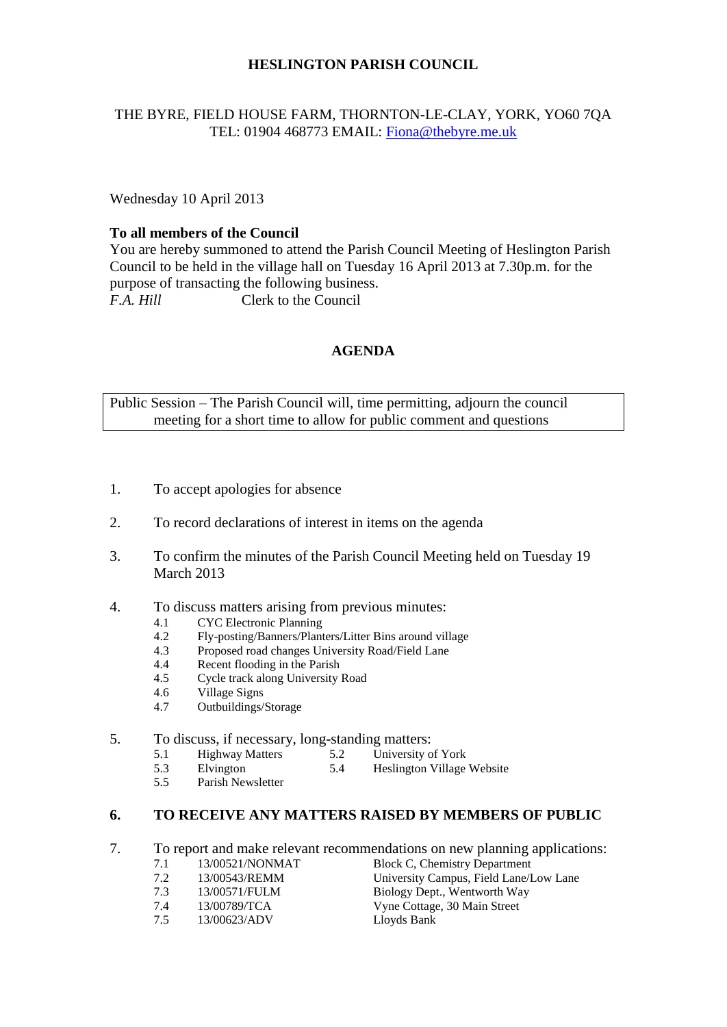### **HESLINGTON PARISH COUNCIL**

#### THE BYRE, FIELD HOUSE FARM, THORNTON-LE-CLAY, YORK, YO60 7QA TEL: 01904 468773 EMAIL: [Fiona@thebyre.me.uk](mailto:Fiona@thebyre.me.uk)

Wednesday 10 April 2013

#### **To all members of the Council**

You are hereby summoned to attend the Parish Council Meeting of Heslington Parish Council to be held in the village hall on Tuesday 16 April 2013 at 7.30p.m. for the purpose of transacting the following business. *F.A. Hill* Clerk to the Council

### **AGENDA**

Public Session – The Parish Council will, time permitting, adjourn the council meeting for a short time to allow for public comment and questions

- 1. To accept apologies for absence
- 2. To record declarations of interest in items on the agenda
- 3. To confirm the minutes of the Parish Council Meeting held on Tuesday 19 March 2013
- 4. To discuss matters arising from previous minutes:
	- 4.1 CYC Electronic Planning<br>4.2 Fly-posting/Banners/Plant
	- 4.2 Fly-posting/Banners/Planters/Litter Bins around village
	- 4.3 Proposed road changes University Road/Field Lane
	- 4.4 Recent flooding in the Parish
	- 4.5 Cycle track along University Road
	- 4.6 Village Signs
	- 4.7 Outbuildings/Storage

# 5. To discuss, if necessary, long-standing matters:<br>5.1 Highway Matters 5.2 University of York

- 5.1 Highway Matters 5.2<br>5.3 Elvington 5.4
- 5.3 Elvington 5.4 Heslington Village Website<br>5.5 Parish Newsletter
- Parish Newsletter

# **6. TO RECEIVE ANY MATTERS RAISED BY MEMBERS OF PUBLIC**

- 7. To report and make relevant recommendations on new planning applications:<br>7.1 13/00521/NONMAT Block C. Chemistry Department
	- 7.1 13/00521/NONMAT Block C, Chemistry Department
	-
	-
	-
	- 7.5 13/00623/ADV Lloyds Bank
	- 7.2 13/00543/REMM University Campus, Field Lane/Low Lane 7.3 13/00571/FULM Biology Dept., Wentworth Way 7.4 13/00789/TCA Vyne Cottage, 30 Main Street